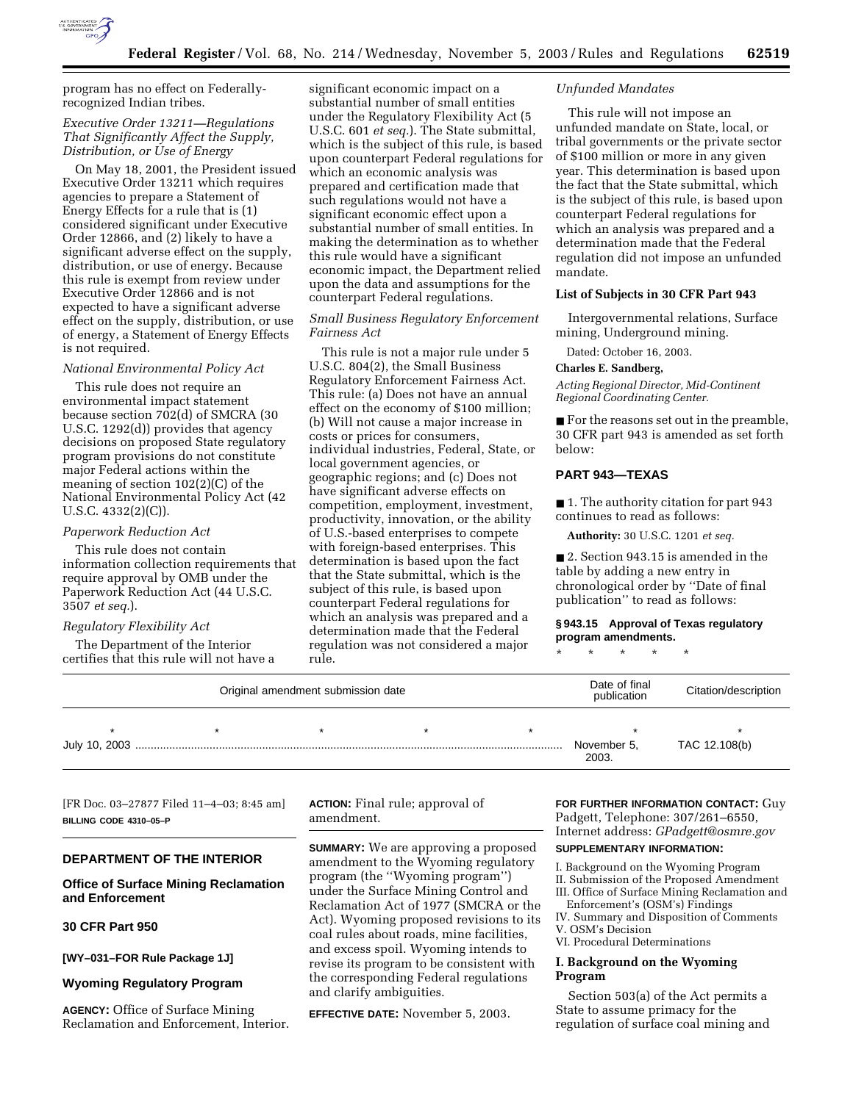

program has no effect on Federallyrecognized Indian tribes.

## *Executive Order 13211—Regulations That Significantly Affect the Supply, Distribution, or Use of Energy*

On May 18, 2001, the President issued Executive Order 13211 which requires agencies to prepare a Statement of Energy Effects for a rule that is (1) considered significant under Executive Order 12866, and (2) likely to have a significant adverse effect on the supply, distribution, or use of energy. Because this rule is exempt from review under Executive Order 12866 and is not expected to have a significant adverse effect on the supply, distribution, or use of energy, a Statement of Energy Effects is not required.

#### *National Environmental Policy Act*

This rule does not require an environmental impact statement because section 702(d) of SMCRA (30 U.S.C. 1292(d)) provides that agency decisions on proposed State regulatory program provisions do not constitute major Federal actions within the meaning of section 102(2)(C) of the National Environmental Policy Act (42 U.S.C. 4332(2)(C)).

### *Paperwork Reduction Act*

This rule does not contain information collection requirements that require approval by OMB under the Paperwork Reduction Act (44 U.S.C. 3507 *et seq.*).

### *Regulatory Flexibility Act*

The Department of the Interior certifies that this rule will not have a

significant economic impact on a substantial number of small entities under the Regulatory Flexibility Act (5 U.S.C. 601 *et seq.*). The State submittal, which is the subject of this rule, is based upon counterpart Federal regulations for which an economic analysis was prepared and certification made that such regulations would not have a significant economic effect upon a substantial number of small entities. In making the determination as to whether this rule would have a significant economic impact, the Department relied upon the data and assumptions for the counterpart Federal regulations.

### *Small Business Regulatory Enforcement Fairness Act*

This rule is not a major rule under 5 U.S.C. 804(2), the Small Business Regulatory Enforcement Fairness Act. This rule: (a) Does not have an annual effect on the economy of \$100 million; (b) Will not cause a major increase in costs or prices for consumers, individual industries, Federal, State, or local government agencies, or geographic regions; and (c) Does not have significant adverse effects on competition, employment, investment, productivity, innovation, or the ability of U.S.-based enterprises to compete with foreign-based enterprises. This determination is based upon the fact that the State submittal, which is the subject of this rule, is based upon counterpart Federal regulations for which an analysis was prepared and a determination made that the Federal regulation was not considered a major rule.

### *Unfunded Mandates*

This rule will not impose an unfunded mandate on State, local, or tribal governments or the private sector of \$100 million or more in any given year. This determination is based upon the fact that the State submittal, which is the subject of this rule, is based upon counterpart Federal regulations for which an analysis was prepared and a determination made that the Federal regulation did not impose an unfunded mandate.

### **List of Subjects in 30 CFR Part 943**

Intergovernmental relations, Surface mining, Underground mining.

Dated: October 16, 2003.

#### **Charles E. Sandberg,**

*Acting Regional Director, Mid-Continent Regional Coordinating Center.*

■ For the reasons set out in the preamble, 30 CFR part 943 is amended as set forth below:

## **PART 943—TEXAS**

■ 1. The authority citation for part 943 continues to read as follows:

**Authority:** 30 U.S.C. 1201 *et seq.*

■ 2. Section 943.15 is amended in the table by adding a new entry in chronological order by ''Date of final publication'' to read as follows:

### **§ 943.15 Approval of Texas regulatory program amendments.**

\* \* \* \* \*

| Original amendment submission date |  |  |  | Date of final<br>publication | Citation/description |               |
|------------------------------------|--|--|--|------------------------------|----------------------|---------------|
|                                    |  |  |  |                              |                      |               |
|                                    |  |  |  |                              | November 5,<br>2003. | TAC 12.108(b) |

[FR Doc. 03–27877 Filed 11–4–03; 8:45 am] **BILLING CODE 4310–05–P**

### **DEPARTMENT OF THE INTERIOR**

## **Office of Surface Mining Reclamation and Enforcement**

# **30 CFR Part 950**

**[WY–031–FOR Rule Package 1J]** 

#### **Wyoming Regulatory Program**

**AGENCY:** Office of Surface Mining Reclamation and Enforcement, Interior. **ACTION:** Final rule; approval of amendment.

**SUMMARY:** We are approving a proposed amendment to the Wyoming regulatory program (the ''Wyoming program'') under the Surface Mining Control and Reclamation Act of 1977 (SMCRA or the Act). Wyoming proposed revisions to its coal rules about roads, mine facilities, and excess spoil. Wyoming intends to revise its program to be consistent with the corresponding Federal regulations and clarify ambiguities.

**EFFECTIVE DATE:** November 5, 2003.

**FOR FURTHER INFORMATION CONTACT:** Guy Padgett, Telephone: 307/261–6550, Internet address: *GPadgett@osmre.gov*

## **SUPPLEMENTARY INFORMATION:**

I. Background on the Wyoming Program II. Submission of the Proposed Amendment

III. Office of Surface Mining Reclamation and Enforcement's (OSM's) Findings

- IV. Summary and Disposition of Comments
- V. OSM's Decision
- VI. Procedural Determinations

## **I. Background on the Wyoming Program**

Section 503(a) of the Act permits a State to assume primacy for the regulation of surface coal mining and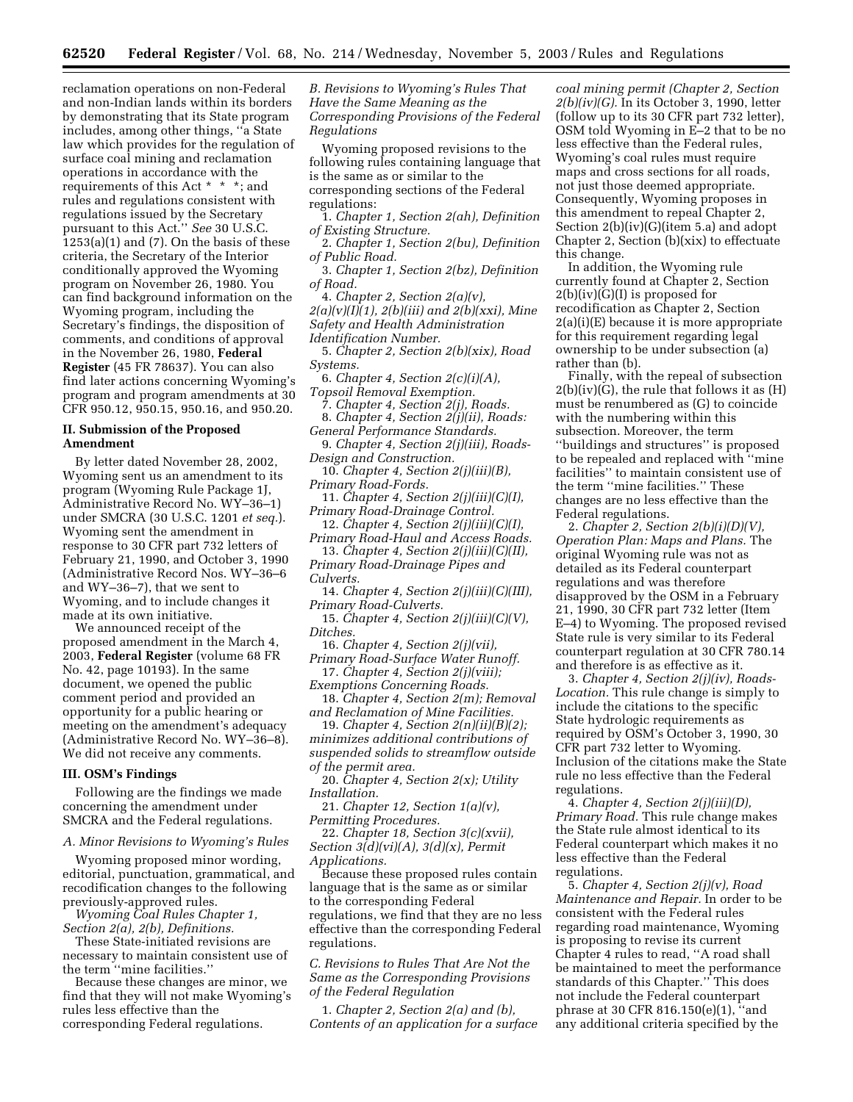reclamation operations on non-Federal and non-Indian lands within its borders by demonstrating that its State program includes, among other things, ''a State law which provides for the regulation of surface coal mining and reclamation operations in accordance with the requirements of this Act \* \* \*; and rules and regulations consistent with regulations issued by the Secretary pursuant to this Act.'' *See* 30 U.S.C.  $1253(a)(1)$  and  $(7)$ . On the basis of these criteria, the Secretary of the Interior conditionally approved the Wyoming program on November 26, 1980. You can find background information on the Wyoming program, including the Secretary's findings, the disposition of comments, and conditions of approval in the November 26, 1980, **Federal Register** (45 FR 78637). You can also find later actions concerning Wyoming's program and program amendments at 30 CFR 950.12, 950.15, 950.16, and 950.20.

### **II. Submission of the Proposed Amendment**

By letter dated November 28, 2002, Wyoming sent us an amendment to its program (Wyoming Rule Package 1J, Administrative Record No. WY–36–1) under SMCRA (30 U.S.C. 1201 *et seq.*). Wyoming sent the amendment in response to 30 CFR part 732 letters of February 21, 1990, and October 3, 1990 (Administrative Record Nos. WY–36–6 and WY–36–7), that we sent to Wyoming, and to include changes it made at its own initiative.

We announced receipt of the proposed amendment in the March 4, 2003, **Federal Register** (volume 68 FR No. 42, page 10193). In the same document, we opened the public comment period and provided an opportunity for a public hearing or meeting on the amendment's adequacy (Administrative Record No. WY–36–8). We did not receive any comments.

### **III. OSM's Findings**

Following are the findings we made concerning the amendment under SMCRA and the Federal regulations.

*A. Minor Revisions to Wyoming's Rules* 

Wyoming proposed minor wording, editorial, punctuation, grammatical, and recodification changes to the following previously-approved rules.

*Wyoming Coal Rules Chapter 1, Section 2(a), 2(b), Definitions.*

These State-initiated revisions are necessary to maintain consistent use of the term ''mine facilities.''

Because these changes are minor, we find that they will not make Wyoming's rules less effective than the corresponding Federal regulations.

*B. Revisions to Wyoming's Rules That Have the Same Meaning as the Corresponding Provisions of the Federal Regulations* 

Wyoming proposed revisions to the following rules containing language that is the same as or similar to the corresponding sections of the Federal regulations:

1. *Chapter 1, Section 2(ah), Definition of Existing Structure.*

2. *Chapter 1, Section 2(bu), Definition of Public Road.*

3. *Chapter 1, Section 2(bz), Definition of Road.*

4. *Chapter 2, Section 2(a)(v), 2(a)(v)(I)(1), 2(b)(iii) and 2(b)(xxi), Mine Safety and Health Administration Identification Number.* 

5. *Chapter 2, Section 2(b)(xix), Road Systems.*

6. *Chapter 4, Section 2(c)(i)(A), Topsoil Removal Exemption.*

7. *Chapter 4, Section 2(j), Roads.* 8. *Chapter 4, Section 2(j)(ii), Roads:* 

*General Performance Standards.* 9. *Chapter 4, Section 2(j)(iii), Roads-*

*Design and Construction.* 10. *Chapter 4, Section 2(j)(iii)(B),* 

*Primary Road-Fords.*

11. *Chapter 4, Section 2(j)(iii)(C)(I), Primary Road-Drainage Control.*

12. *Chapter 4, Section 2(j)(iii)(C)(I), Primary Road-Haul and Access Roads.*

13. *Chapter 4, Section 2(j)(iii)(C)(II), Primary Road-Drainage Pipes and Culverts.*

14. *Chapter 4, Section 2(j)(iii)(C)(III), Primary Road-Culverts.*

15. *Chapter 4, Section 2(j)(iii)(C)(V), Ditches.*

16. *Chapter 4, Section 2(j)(vii), Primary Road-Surface Water Runoff.*

17. *Chapter 4, Section 2(j)(viii); Exemptions Concerning Roads.* 18. *Chapter 4, Section 2(m); Removal* 

*and Reclamation of Mine Facilities.*

19. *Chapter 4, Section 2(n)(ii)(B)(2); minimizes additional contributions of suspended solids to streamflow outside of the permit area.*

20. *Chapter 4, Section 2(x); Utility Installation.*

21. *Chapter 12, Section 1(a)(v), Permitting Procedures.*

22. *Chapter 18, Section 3(c)(xvii), Section 3(d)(vi)(A), 3(d)(x), Permit Applications.*

Because these proposed rules contain language that is the same as or similar to the corresponding Federal regulations, we find that they are no less effective than the corresponding Federal regulations.

*C. Revisions to Rules That Are Not the Same as the Corresponding Provisions of the Federal Regulation* 

1. *Chapter 2, Section 2(a) and (b), Contents of an application for a surface* 

*coal mining permit (Chapter 2, Section 2(b)(iv)(G).* In its October 3, 1990, letter (follow up to its 30 CFR part 732 letter), OSM told Wyoming in E–2 that to be no less effective than the Federal rules, Wyoming's coal rules must require maps and cross sections for all roads, not just those deemed appropriate. Consequently, Wyoming proposes in this amendment to repeal Chapter 2, Section 2(b)(iv)(G)(item 5.a) and adopt Chapter 2, Section (b)(xix) to effectuate this change.

In addition, the Wyoming rule currently found at Chapter 2, Section  $2(b)(iv)(G)(I)$  is proposed for recodification as Chapter 2, Section 2(a)(i)(E) because it is more appropriate for this requirement regarding legal ownership to be under subsection (a) rather than (b).

Finally, with the repeal of subsection  $2(b)(iv)(G)$ , the rule that follows it as  $(H)$ must be renumbered as (G) to coincide with the numbering within this subsection. Moreover, the term ''buildings and structures'' is proposed to be repealed and replaced with ''mine facilities'' to maintain consistent use of the term ''mine facilities.'' These changes are no less effective than the Federal regulations.

2. *Chapter 2, Section 2(b)(i)(D)(V), Operation Plan: Maps and Plans.* The original Wyoming rule was not as detailed as its Federal counterpart regulations and was therefore disapproved by the OSM in a February 21, 1990, 30 CFR part 732 letter (Item E–4) to Wyoming. The proposed revised State rule is very similar to its Federal counterpart regulation at 30 CFR 780.14 and therefore is as effective as it.

3. *Chapter 4, Section 2(j)(iv), Roads-Location.* This rule change is simply to include the citations to the specific State hydrologic requirements as required by OSM's October 3, 1990, 30 CFR part 732 letter to Wyoming. Inclusion of the citations make the State rule no less effective than the Federal regulations.

4. *Chapter 4, Section 2(j)(iii)(D), Primary Road.* This rule change makes the State rule almost identical to its Federal counterpart which makes it no less effective than the Federal regulations.

5. *Chapter 4, Section 2(j)(v), Road Maintenance and Repair.* In order to be consistent with the Federal rules regarding road maintenance, Wyoming is proposing to revise its current Chapter 4 rules to read, ''A road shall be maintained to meet the performance standards of this Chapter.'' This does not include the Federal counterpart phrase at 30 CFR 816.150(e)(1), ''and any additional criteria specified by the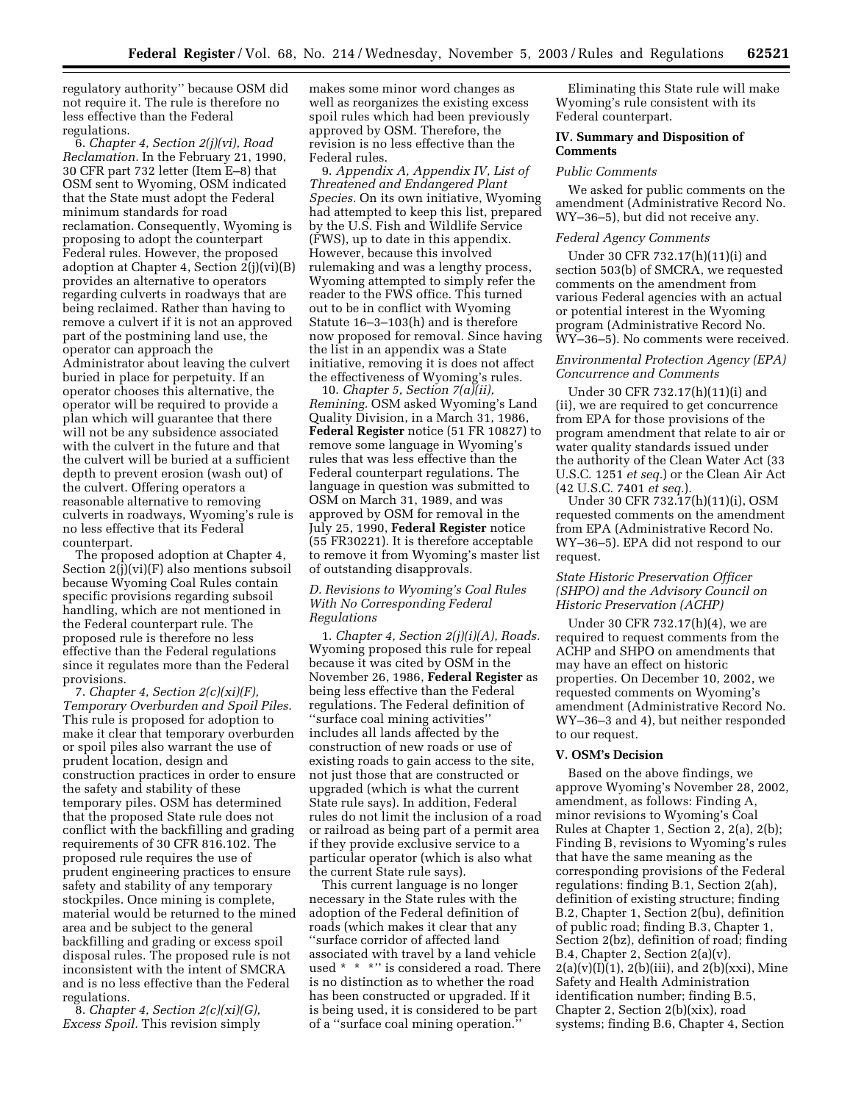regulatory authority'' because OSM did not require it. The rule is therefore no less effective than the Federal regulations.

6. *Chapter 4, Section 2(j)(vi), Road Reclamation.* In the February 21, 1990, 30 CFR part 732 letter (Item E–8) that OSM sent to Wyoming, OSM indicated that the State must adopt the Federal minimum standards for road reclamation. Consequently, Wyoming is proposing to adopt the counterpart Federal rules. However, the proposed adoption at Chapter 4, Section 2(j)(vi)(B) provides an alternative to operators regarding culverts in roadways that are being reclaimed. Rather than having to remove a culvert if it is not an approved part of the postmining land use, the operator can approach the Administrator about leaving the culvert buried in place for perpetuity. If an operator chooses this alternative, the operator will be required to provide a plan which will guarantee that there will not be any subsidence associated with the culvert in the future and that the culvert will be buried at a sufficient depth to prevent erosion (wash out) of the culvert. Offering operators a reasonable alternative to removing culverts in roadways, Wyoming's rule is no less effective that its Federal counterpart.

The proposed adoption at Chapter 4, Section  $2(i)(vi)(F)$  also mentions subsoil because Wyoming Coal Rules contain specific provisions regarding subsoil handling, which are not mentioned in the Federal counterpart rule. The proposed rule is therefore no less effective than the Federal regulations since it regulates more than the Federal provisions.

7. *Chapter 4, Section 2(c)(xi)(F), Temporary Overburden and Spoil Piles.* This rule is proposed for adoption to make it clear that temporary overburden or spoil piles also warrant the use of prudent location, design and construction practices in order to ensure the safety and stability of these temporary piles. OSM has determined that the proposed State rule does not conflict with the backfilling and grading requirements of 30 CFR 816.102. The proposed rule requires the use of prudent engineering practices to ensure safety and stability of any temporary stockpiles. Once mining is complete, material would be returned to the mined area and be subject to the general backfilling and grading or excess spoil disposal rules. The proposed rule is not inconsistent with the intent of SMCRA and is no less effective than the Federal regulations.

8. *Chapter 4, Section 2(c)(xi)(G), Excess Spoil.* This revision simply makes some minor word changes as well as reorganizes the existing excess spoil rules which had been previously approved by OSM. Therefore, the revision is no less effective than the Federal rules.

9. *Appendix A, Appendix IV, List of Threatened and Endangered Plant Species.* On its own initiative, Wyoming had attempted to keep this list, prepared by the U.S. Fish and Wildlife Service (FWS), up to date in this appendix. However, because this involved rulemaking and was a lengthy process, Wyoming attempted to simply refer the reader to the FWS office. This turned out to be in conflict with Wyoming Statute 16–3–103(h) and is therefore now proposed for removal. Since having the list in an appendix was a State initiative, removing it is does not affect the effectiveness of Wyoming's rules.

10. *Chapter 5, Section 7(a)(ii), Remining.* OSM asked Wyoming's Land Quality Division, in a March 31, 1986, **Federal Register** notice (51 FR 10827) to remove some language in Wyoming's rules that was less effective than the Federal counterpart regulations. The language in question was submitted to OSM on March 31, 1989, and was approved by OSM for removal in the July 25, 1990, **Federal Register** notice (55 FR30221). It is therefore acceptable to remove it from Wyoming's master list of outstanding disapprovals.

## *D. Revisions to Wyoming's Coal Rules With No Corresponding Federal Regulations*

1. *Chapter 4, Section 2(j)(i)(A), Roads.* Wyoming proposed this rule for repeal because it was cited by OSM in the November 26, 1986, **Federal Register** as being less effective than the Federal regulations. The Federal definition of ''surface coal mining activities'' includes all lands affected by the construction of new roads or use of existing roads to gain access to the site, not just those that are constructed or upgraded (which is what the current State rule says). In addition, Federal rules do not limit the inclusion of a road or railroad as being part of a permit area if they provide exclusive service to a particular operator (which is also what the current State rule says).

This current language is no longer necessary in the State rules with the adoption of the Federal definition of roads (which makes it clear that any ''surface corridor of affected land associated with travel by a land vehicle used \* \* \*" is considered a road. There is no distinction as to whether the road has been constructed or upgraded. If it is being used, it is considered to be part of a ''surface coal mining operation.''

Eliminating this State rule will make Wyoming's rule consistent with its Federal counterpart.

## **IV. Summary and Disposition of Comments**

#### *Public Comments*

We asked for public comments on the amendment (Administrative Record No. WY–36–5), but did not receive any.

### *Federal Agency Comments*

Under 30 CFR 732.17(h)(11)(i) and section 503(b) of SMCRA, we requested comments on the amendment from various Federal agencies with an actual or potential interest in the Wyoming program (Administrative Record No. WY–36–5). No comments were received.

## *Environmental Protection Agency (EPA) Concurrence and Comments*

Under 30 CFR 732.17(h)(11)(i) and (ii), we are required to get concurrence from EPA for those provisions of the program amendment that relate to air or water quality standards issued under the authority of the Clean Water Act (33 U.S.C. 1251 *et seq.*) or the Clean Air Act (42 U.S.C. 7401 *et seq.*).

Under 30 CFR 732.17(h)(11)(i), OSM requested comments on the amendment from EPA (Administrative Record No. WY–36–5). EPA did not respond to our request.

## *State Historic Preservation Officer (SHPO) and the Advisory Council on Historic Preservation (ACHP)*

Under 30 CFR 732.17(h)(4), we are required to request comments from the ACHP and SHPO on amendments that may have an effect on historic properties. On December 10, 2002, we requested comments on Wyoming's amendment (Administrative Record No. WY–36–3 and 4), but neither responded to our request.

### **V. OSM's Decision**

Based on the above findings, we approve Wyoming's November 28, 2002, amendment, as follows: Finding A, minor revisions to Wyoming's Coal Rules at Chapter 1, Section 2, 2(a), 2(b); Finding B, revisions to Wyoming's rules that have the same meaning as the corresponding provisions of the Federal regulations: finding B.1, Section 2(ah), definition of existing structure; finding B.2, Chapter 1, Section 2(bu), definition of public road; finding B.3, Chapter 1, Section 2(bz), definition of road; finding B.4, Chapter 2, Section 2(a)(v),  $2(a)(v)(I)(1), 2(b)(iii),$  and  $2(b)(xxi)$ , Mine Safety and Health Administration identification number; finding B.5, Chapter 2, Section 2(b)(xix), road systems; finding B.6, Chapter 4, Section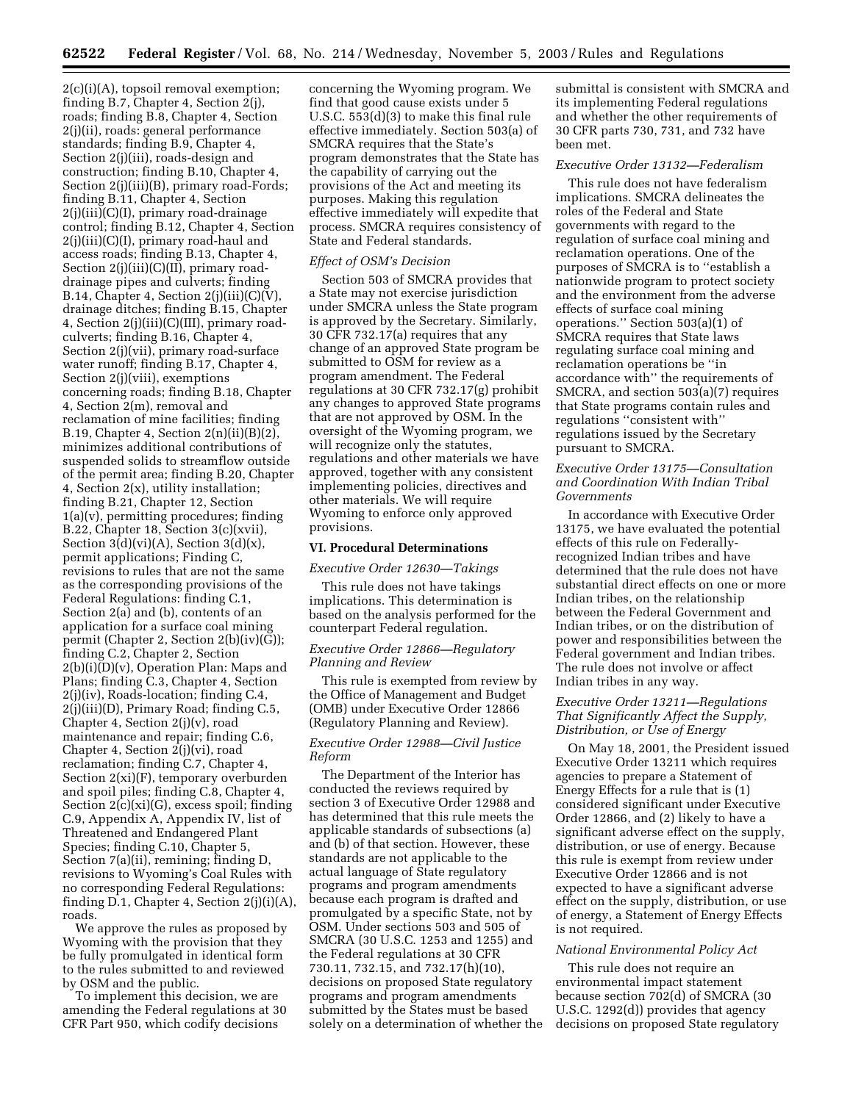2(c)(i)(A), topsoil removal exemption; finding B.7, Chapter 4, Section 2(j), roads; finding B.8, Chapter 4, Section 2(j)(ii), roads: general performance standards; finding B.9, Chapter 4, Section 2(j)(iii), roads-design and construction; finding B.10, Chapter 4, Section 2(j)(iii)(B), primary road-Fords; finding B.11, Chapter 4, Section 2(j)(iii)(C)(I), primary road-drainage control; finding B.12, Chapter 4, Section 2(j)(iii)(C)(I), primary road-haul and access roads; finding B.13, Chapter 4, Section 2(j)(iii)(C)(II), primary roaddrainage pipes and culverts; finding B.14, Chapter 4, Section  $2(j)(iii)(C)(V)$ , drainage ditches; finding B.15, Chapter 4, Section 2(j)(iii)(C)(III), primary roadculverts; finding B.16, Chapter 4, Section 2(j)(vii), primary road-surface water runoff; finding B.17, Chapter 4, Section 2(j)(viii), exemptions concerning roads; finding B.18, Chapter 4, Section 2(m), removal and reclamation of mine facilities; finding B.19, Chapter 4, Section  $2(n)(ii)(B)(2)$ , minimizes additional contributions of suspended solids to streamflow outside of the permit area; finding B.20, Chapter 4, Section 2(x), utility installation; finding B.21, Chapter 12, Section 1(a)(v), permitting procedures; finding B.22, Chapter 18, Section 3(c)(xvii), Section  $3(d)(vi)(A)$ , Section  $3(d)(x)$ , permit applications; Finding C, revisions to rules that are not the same as the corresponding provisions of the Federal Regulations: finding C.1, Section 2(a) and (b), contents of an application for a surface coal mining permit (Chapter 2, Section 2(b)(iv)(G)); finding C.2, Chapter 2, Section  $2(b)(i)(D)(v)$ , Operation Plan: Maps and Plans; finding C.3, Chapter 4, Section 2(j)(iv), Roads-location; finding C.4, 2(j)(iii)(D), Primary Road; finding C.5, Chapter 4, Section 2(j)(v), road maintenance and repair; finding C.6, Chapter 4, Section 2(j)(vi), road reclamation; finding C.7, Chapter 4, Section 2(xi)(F), temporary overburden and spoil piles; finding C.8, Chapter 4, Section 2(c)(xi)(G), excess spoil; finding C.9, Appendix A, Appendix IV, list of Threatened and Endangered Plant Species; finding C.10, Chapter 5, Section 7(a)(ii), remining; finding D, revisions to Wyoming's Coal Rules with no corresponding Federal Regulations: finding D.1, Chapter 4, Section 2(j)(i)(A), roads.

We approve the rules as proposed by Wyoming with the provision that they be fully promulgated in identical form to the rules submitted to and reviewed by OSM and the public.

To implement this decision, we are amending the Federal regulations at 30 CFR Part 950, which codify decisions

concerning the Wyoming program. We find that good cause exists under 5 U.S.C. 553(d)(3) to make this final rule effective immediately. Section 503(a) of SMCRA requires that the State's program demonstrates that the State has the capability of carrying out the provisions of the Act and meeting its purposes. Making this regulation effective immediately will expedite that process. SMCRA requires consistency of State and Federal standards.

## *Effect of OSM's Decision*

Section 503 of SMCRA provides that a State may not exercise jurisdiction under SMCRA unless the State program is approved by the Secretary. Similarly, 30 CFR 732.17(a) requires that any change of an approved State program be submitted to OSM for review as a program amendment. The Federal regulations at 30 CFR 732.17(g) prohibit any changes to approved State programs that are not approved by OSM. In the oversight of the Wyoming program, we will recognize only the statutes, regulations and other materials we have approved, together with any consistent implementing policies, directives and other materials. We will require Wyoming to enforce only approved provisions.

### **VI. Procedural Determinations**

### *Executive Order 12630—Takings*

This rule does not have takings implications. This determination is based on the analysis performed for the counterpart Federal regulation.

### *Executive Order 12866—Regulatory Planning and Review*

This rule is exempted from review by the Office of Management and Budget (OMB) under Executive Order 12866 (Regulatory Planning and Review).

### *Executive Order 12988—Civil Justice Reform*

The Department of the Interior has conducted the reviews required by section 3 of Executive Order 12988 and has determined that this rule meets the applicable standards of subsections (a) and (b) of that section. However, these standards are not applicable to the actual language of State regulatory programs and program amendments because each program is drafted and promulgated by a specific State, not by OSM. Under sections 503 and 505 of SMCRA (30 U.S.C. 1253 and 1255) and the Federal regulations at 30 CFR 730.11, 732.15, and 732.17(h)(10), decisions on proposed State regulatory programs and program amendments submitted by the States must be based solely on a determination of whether the

submittal is consistent with SMCRA and its implementing Federal regulations and whether the other requirements of 30 CFR parts 730, 731, and 732 have been met.

# *Executive Order 13132—Federalism*

This rule does not have federalism implications. SMCRA delineates the roles of the Federal and State governments with regard to the regulation of surface coal mining and reclamation operations. One of the purposes of SMCRA is to ''establish a nationwide program to protect society and the environment from the adverse effects of surface coal mining operations.'' Section 503(a)(1) of SMCRA requires that State laws regulating surface coal mining and reclamation operations be ''in accordance with'' the requirements of SMCRA, and section 503(a)(7) requires that State programs contain rules and regulations ''consistent with'' regulations issued by the Secretary pursuant to SMCRA.

### *Executive Order 13175—Consultation and Coordination With Indian Tribal Governments*

In accordance with Executive Order 13175, we have evaluated the potential effects of this rule on Federallyrecognized Indian tribes and have determined that the rule does not have substantial direct effects on one or more Indian tribes, on the relationship between the Federal Government and Indian tribes, or on the distribution of power and responsibilities between the Federal government and Indian tribes. The rule does not involve or affect Indian tribes in any way.

## *Executive Order 13211—Regulations That Significantly Affect the Supply, Distribution, or Use of Energy*

On May 18, 2001, the President issued Executive Order 13211 which requires agencies to prepare a Statement of Energy Effects for a rule that is (1) considered significant under Executive Order 12866, and (2) likely to have a significant adverse effect on the supply, distribution, or use of energy. Because this rule is exempt from review under Executive Order 12866 and is not expected to have a significant adverse effect on the supply, distribution, or use of energy, a Statement of Energy Effects is not required.

### *National Environmental Policy Act*

This rule does not require an environmental impact statement because section 702(d) of SMCRA (30 U.S.C. 1292(d)) provides that agency decisions on proposed State regulatory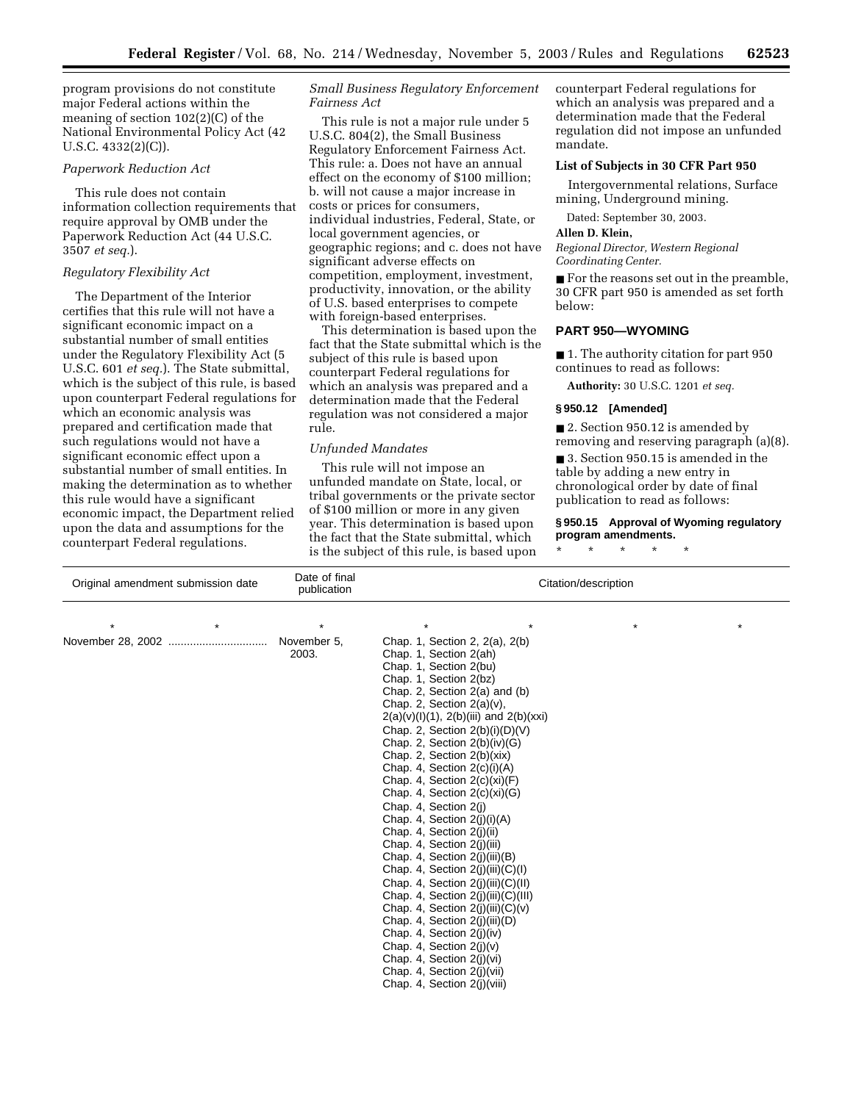program provisions do not constitute major Federal actions within the meaning of section 102(2)(C) of the National Environmental Policy Act (42 U.S.C. 4332(2)(C)).

## *Paperwork Reduction Act*

This rule does not contain information collection requirements that require approval by OMB under the Paperwork Reduction Act (44 U.S.C. 3507 *et seq.*).

### *Regulatory Flexibility Act*

The Department of the Interior certifies that this rule will not have a significant economic impact on a substantial number of small entities under the Regulatory Flexibility Act (5 U.S.C. 601 *et seq.*). The State submittal, which is the subject of this rule, is based upon counterpart Federal regulations for which an economic analysis was prepared and certification made that such regulations would not have a significant economic effect upon a substantial number of small entities. In making the determination as to whether this rule would have a significant economic impact, the Department relied upon the data and assumptions for the counterpart Federal regulations.

## *Small Business Regulatory Enforcement Fairness Act*

This rule is not a major rule under 5 U.S.C. 804(2), the Small Business Regulatory Enforcement Fairness Act. This rule: a. Does not have an annual effect on the economy of \$100 million; b. will not cause a major increase in costs or prices for consumers, individual industries, Federal, State, or local government agencies, or geographic regions; and c. does not have significant adverse effects on competition, employment, investment, productivity, innovation, or the ability of U.S. based enterprises to compete with foreign-based enterprises.

This determination is based upon the fact that the State submittal which is the subject of this rule is based upon counterpart Federal regulations for which an analysis was prepared and a determination made that the Federal regulation was not considered a major rule.

#### *Unfunded Mandates*

This rule will not impose an unfunded mandate on State, local, or tribal governments or the private sector of \$100 million or more in any given year. This determination is based upon the fact that the State submittal, which is the subject of this rule, is based upon counterpart Federal regulations for which an analysis was prepared and a determination made that the Federal regulation did not impose an unfunded mandate.

### **List of Subjects in 30 CFR Part 950**

Intergovernmental relations, Surface mining, Underground mining.

Dated: September 30, 2003.

#### **Allen D. Klein,**

*Regional Director, Western Regional Coordinating Center.*

■ For the reasons set out in the preamble, 30 CFR part 950 is amended as set forth below:

### **PART 950—WYOMING**

■ 1. The authority citation for part 950 continues to read as follows:

**Authority:** 30 U.S.C. 1201 *et seq.*

### **§ 950.12 [Amended]**

■ 2. Section 950.12 is amended by removing and reserving paragraph (a)(8).

■ 3. Section 950.15 is amended in the table by adding a new entry in chronological order by date of final publication to read as follows:

## **§ 950.15 Approval of Wyoming regulatory program amendments.**

\* \* \* \* \*

| Original amendment submission date | Date of final<br>publication | Citation/description                                                                                                                                                                                                                                                                                                                                                                                                                                                                                                                                                                                                                                                                                                                                                                                                                                                                                                                                |  |  |
|------------------------------------|------------------------------|-----------------------------------------------------------------------------------------------------------------------------------------------------------------------------------------------------------------------------------------------------------------------------------------------------------------------------------------------------------------------------------------------------------------------------------------------------------------------------------------------------------------------------------------------------------------------------------------------------------------------------------------------------------------------------------------------------------------------------------------------------------------------------------------------------------------------------------------------------------------------------------------------------------------------------------------------------|--|--|
| $\star$                            | $\star$                      | $\star$<br>$\star$<br>$^\star$                                                                                                                                                                                                                                                                                                                                                                                                                                                                                                                                                                                                                                                                                                                                                                                                                                                                                                                      |  |  |
| November 28, 2002<br>              | November 5,<br>2003.         | Chap. 1, Section 2, 2(a), 2(b)<br>Chap. 1, Section 2(ah)<br>Chap. 1, Section 2(bu)<br>Chap. 1, Section 2(bz)<br>Chap. 2, Section $2(a)$ and $(b)$<br>Chap. 2, Section $2(a)(v)$ ,<br>$2(a)(v)(l)(1), 2(b)(iii)$ and $2(b)(xxi)$<br>Chap. 2, Section 2(b)(i)(D)(V)<br>Chap. 2, Section $2(b)(iv)(G)$<br>Chap. 2, Section $2(b)(xix)$<br>Chap. 4, Section $2(c)(i)(A)$<br>Chap. 4, Section $2(c)(xi)(F)$<br>Chap. 4, Section $2(c)(xi)(G)$<br>Chap. 4, Section 2(j)<br>Chap. 4, Section $2(i)(i)(A)$<br>Chap. 4, Section 2(j)(ii)<br>Chap. 4, Section 2(j)(iii)<br>Chap. 4, Section 2(j)(iii)(B)<br>Chap. 4, Section $2(j)(iii)(C)(I)$<br>Chap. 4, Section $2(i)(iii)(C)(II)$<br>Chap. 4, Section $2(i)(iii)(C)(III)$<br>Chap. 4, Section $2(i)(iii)(C)(v)$<br>Chap. 4, Section $2(i)(iii)(D)$<br>Chap. 4, Section $2(i)(iv)$<br>Chap. 4, Section $2(i)(v)$<br>Chap. 4, Section 2(j)(vi)<br>Chap. 4, Section 2(j)(vii)<br>Chap. 4, Section 2(i)(viii) |  |  |